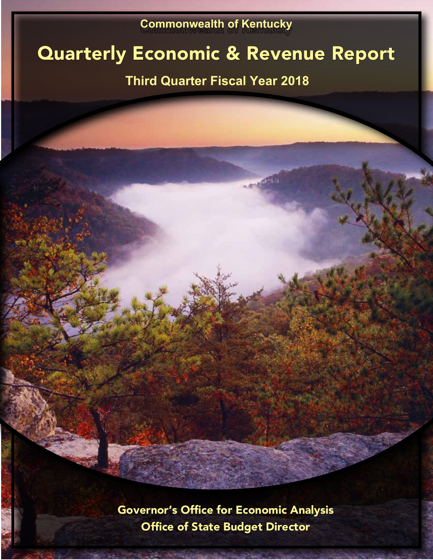# **Commonwealth of Kentucky**

# Quarterly Economic & Revenue Report

# **Third Quarter Fiscal Year 2018**

**TYPES** 

Governor's Office for Economic Analysis Office of State Budget Director

 $16.14.22$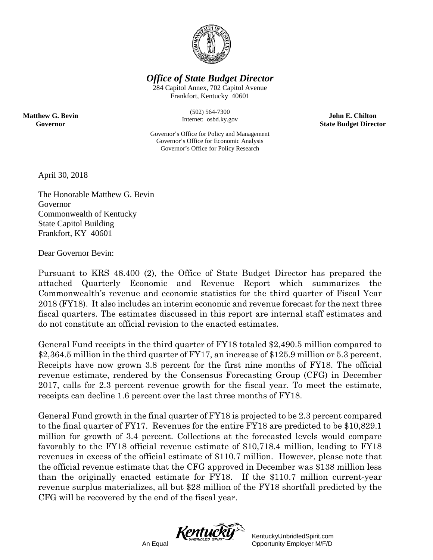

*Office of State Budget Director*

284 Capitol Annex, 702 Capitol Avenue Frankfort, Kentucky 40601

> (502) 564-7300 Internet: osbd.ky.gov

**John E. Chilton State Budget Director**

Governor's Office for Policy and Management Governor's Office for Economic Analysis Governor's Office for Policy Research

April 30, 2018

**Matthew G. Bevin Governor**

> The Honorable Matthew G. Bevin Governor Commonwealth of Kentucky State Capitol Building Frankfort, KY 40601

Dear Governor Bevin:

Pursuant to KRS 48.400 (2), the Office of State Budget Director has prepared the attached Quarterly Economic and Revenue Report which summarizes the Commonwealth's revenue and economic statistics for the third quarter of Fiscal Year 2018 (FY18). It also includes an interim economic and revenue forecast for the next three fiscal quarters. The estimates discussed in this report are internal staff estimates and do not constitute an official revision to the enacted estimates.

General Fund receipts in the third quarter of FY18 totaled \$2,490.5 million compared to \$2,364.5 million in the third quarter of FY17, an increase of \$125.9 million or 5.3 percent. Receipts have now grown 3.8 percent for the first nine months of FY18. The official revenue estimate, rendered by the Consensus Forecasting Group (CFG) in December 2017, calls for 2.3 percent revenue growth for the fiscal year. To meet the estimate, receipts can decline 1.6 percent over the last three months of FY18.

General Fund growth in the final quarter of FY18 is projected to be 2.3 percent compared to the final quarter of FY17. Revenues for the entire FY18 are predicted to be \$10,829.1 million for growth of 3.4 percent. Collections at the forecasted levels would compare favorably to the FY18 official revenue estimate of \$10,718.4 million, leading to FY18 revenues in excess of the official estimate of \$110.7 million. However, please note that the official revenue estimate that the CFG approved in December was \$138 million less than the originally enacted estimate for FY18. If the \$110.7 million current-year revenue surplus materializes, all but \$28 million of the FY18 shortfall predicted by the CFG will be recovered by the end of the fiscal year.



KentuckyUnbridledSpirit.com An Equal Opportunity Employer M/F/D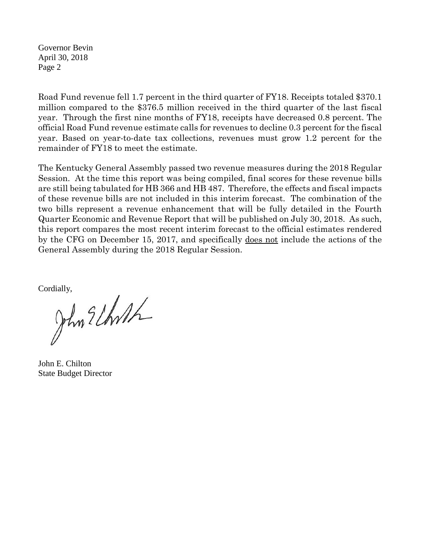Governor Bevin April 30, 2018 Page 2

Road Fund revenue fell 1.7 percent in the third quarter of FY18. Receipts totaled \$370.1 million compared to the \$376.5 million received in the third quarter of the last fiscal year. Through the first nine months of FY18, receipts have decreased 0.8 percent. The official Road Fund revenue estimate calls for revenues to decline 0.3 percent for the fiscal year. Based on year-to-date tax collections, revenues must grow 1.2 percent for the remainder of FY18 to meet the estimate.

The Kentucky General Assembly passed two revenue measures during the 2018 Regular Session. At the time this report was being compiled, final scores for these revenue bills are still being tabulated for HB 366 and HB 487. Therefore, the effects and fiscal impacts of these revenue bills are not included in this interim forecast. The combination of the two bills represent a revenue enhancement that will be fully detailed in the Fourth Quarter Economic and Revenue Report that will be published on July 30, 2018. As such, this report compares the most recent interim forecast to the official estimates rendered by the CFG on December 15, 2017, and specifically does not include the actions of the General Assembly during the 2018 Regular Session.

Cordially,<br>John Elhoth

John E. Chilton State Budget Director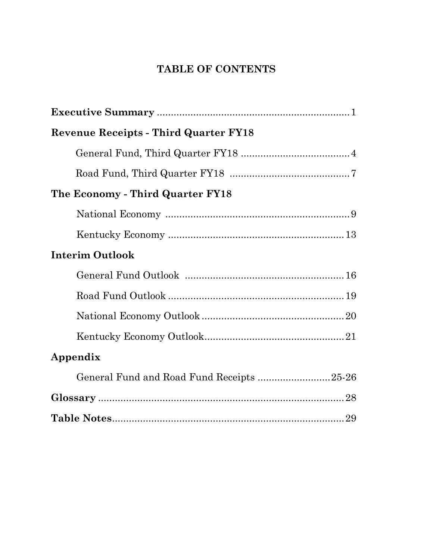# **TABLE OF CONTENTS**

| <b>Revenue Receipts - Third Quarter FY18</b> |  |
|----------------------------------------------|--|
|                                              |  |
|                                              |  |
| The Economy - Third Quarter FY18             |  |
|                                              |  |
|                                              |  |
| <b>Interim Outlook</b>                       |  |
|                                              |  |
|                                              |  |
|                                              |  |
|                                              |  |
| Appendix                                     |  |
| General Fund and Road Fund Receipts 25-26    |  |
|                                              |  |
|                                              |  |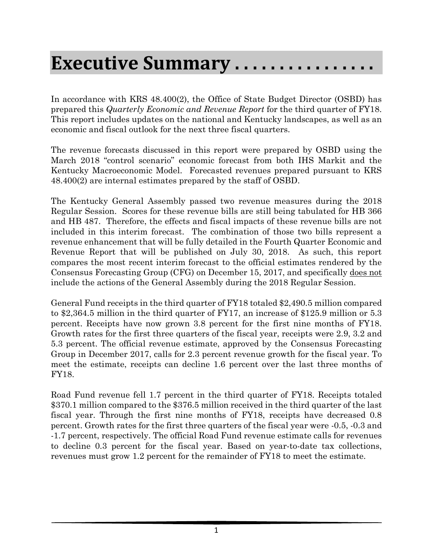# **Executive Summary . . . . . . . . . . . . . . . .**

In accordance with KRS 48.400(2), the Office of State Budget Director (OSBD) has prepared this *Quarterly Economic and Revenue Report* for the third quarter of FY18. This report includes updates on the national and Kentucky landscapes, as well as an economic and fiscal outlook for the next three fiscal quarters.

The revenue forecasts discussed in this report were prepared by OSBD using the March 2018 "control scenario" economic forecast from both IHS Markit and the Kentucky Macroeconomic Model. Forecasted revenues prepared pursuant to KRS 48.400(2) are internal estimates prepared by the staff of OSBD.

The Kentucky General Assembly passed two revenue measures during the 2018 Regular Session. Scores for these revenue bills are still being tabulated for HB 366 and HB 487. Therefore, the effects and fiscal impacts of these revenue bills are not included in this interim forecast. The combination of those two bills represent a revenue enhancement that will be fully detailed in the Fourth Quarter Economic and Revenue Report that will be published on July 30, 2018. As such, this report compares the most recent interim forecast to the official estimates rendered by the Consensus Forecasting Group (CFG) on December 15, 2017, and specifically does not include the actions of the General Assembly during the 2018 Regular Session.

General Fund receipts in the third quarter of FY18 totaled \$2,490.5 million compared to \$2,364.5 million in the third quarter of FY17, an increase of \$125.9 million or 5.3 percent. Receipts have now grown 3.8 percent for the first nine months of FY18. Growth rates for the first three quarters of the fiscal year, receipts were 2.9, 3.2 and 5.3 percent. The official revenue estimate, approved by the Consensus Forecasting Group in December 2017, calls for 2.3 percent revenue growth for the fiscal year. To meet the estimate, receipts can decline 1.6 percent over the last three months of FY18.

Road Fund revenue fell 1.7 percent in the third quarter of FY18. Receipts totaled \$370.1 million compared to the \$376.5 million received in the third quarter of the last fiscal year. Through the first nine months of FY18, receipts have decreased 0.8 percent. Growth rates for the first three quarters of the fiscal year were -0.5, -0.3 and -1.7 percent, respectively. The official Road Fund revenue estimate calls for revenues to decline 0.3 percent for the fiscal year. Based on year-to-date tax collections, revenues must grow 1.2 percent for the remainder of FY18 to meet the estimate.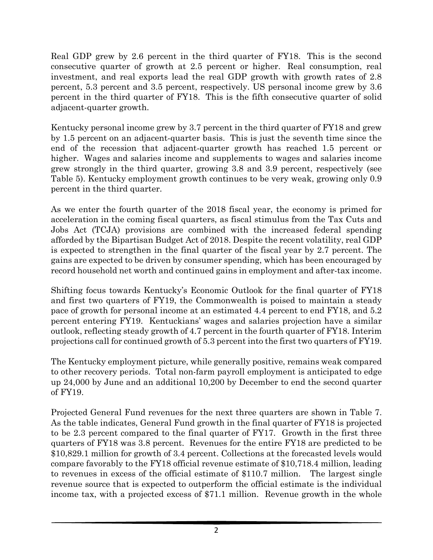Real GDP grew by 2.6 percent in the third quarter of FY18. This is the second consecutive quarter of growth at 2.5 percent or higher. Real consumption, real investment, and real exports lead the real GDP growth with growth rates of 2.8 percent, 5.3 percent and 3.5 percent, respectively. US personal income grew by 3.6 percent in the third quarter of FY18. This is the fifth consecutive quarter of solid adjacent-quarter growth.

Kentucky personal income grew by 3.7 percent in the third quarter of FY18 and grew by 1.5 percent on an adjacent-quarter basis. This is just the seventh time since the end of the recession that adjacent-quarter growth has reached 1.5 percent or higher. Wages and salaries income and supplements to wages and salaries income grew strongly in the third quarter, growing 3.8 and 3.9 percent, respectively (see Table 5). Kentucky employment growth continues to be very weak, growing only 0.9 percent in the third quarter.

As we enter the fourth quarter of the 2018 fiscal year, the economy is primed for acceleration in the coming fiscal quarters, as fiscal stimulus from the Tax Cuts and Jobs Act (TCJA) provisions are combined with the increased federal spending afforded by the Bipartisan Budget Act of 2018. Despite the recent volatility, real GDP is expected to strengthen in the final quarter of the fiscal year by 2.7 percent. The gains are expected to be driven by consumer spending, which has been encouraged by record household net worth and continued gains in employment and after-tax income.

Shifting focus towards Kentucky's Economic Outlook for the final quarter of FY18 and first two quarters of FY19, the Commonwealth is poised to maintain a steady pace of growth for personal income at an estimated 4.4 percent to end FY18, and 5.2 percent entering FY19. Kentuckians' wages and salaries projection have a similar outlook, reflecting steady growth of 4.7 percent in the fourth quarter of FY18. Interim projections call for continued growth of 5.3 percent into the first two quarters of FY19.

The Kentucky employment picture, while generally positive, remains weak compared to other recovery periods. Total non-farm payroll employment is anticipated to edge up 24,000 by June and an additional 10,200 by December to end the second quarter of FY19.

Projected General Fund revenues for the next three quarters are shown in Table 7. As the table indicates, General Fund growth in the final quarter of FY18 is projected to be 2.3 percent compared to the final quarter of FY17. Growth in the first three quarters of FY18 was 3.8 percent. Revenues for the entire FY18 are predicted to be \$10,829.1 million for growth of 3.4 percent. Collections at the forecasted levels would compare favorably to the FY18 official revenue estimate of \$10,718.4 million, leading to revenues in excess of the official estimate of \$110.7 million. The largest single revenue source that is expected to outperform the official estimate is the individual income tax, with a projected excess of \$71.1 million. Revenue growth in the whole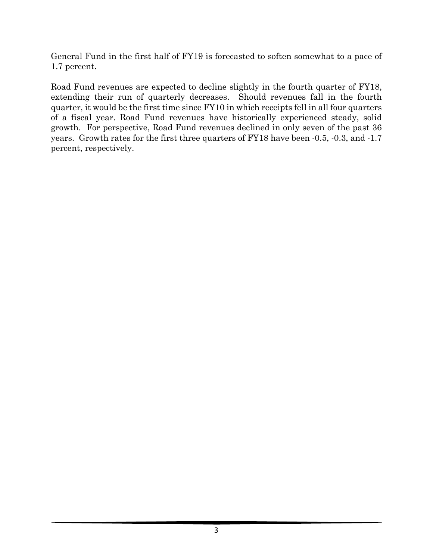General Fund in the first half of FY19 is forecasted to soften somewhat to a pace of 1.7 percent.

Road Fund revenues are expected to decline slightly in the fourth quarter of FY18, extending their run of quarterly decreases. Should revenues fall in the fourth quarter, it would be the first time since FY10 in which receipts fell in all four quarters of a fiscal year. Road Fund revenues have historically experienced steady, solid growth. For perspective, Road Fund revenues declined in only seven of the past 36 years. Growth rates for the first three quarters of FY18 have been -0.5, -0.3, and -1.7 percent, respectively.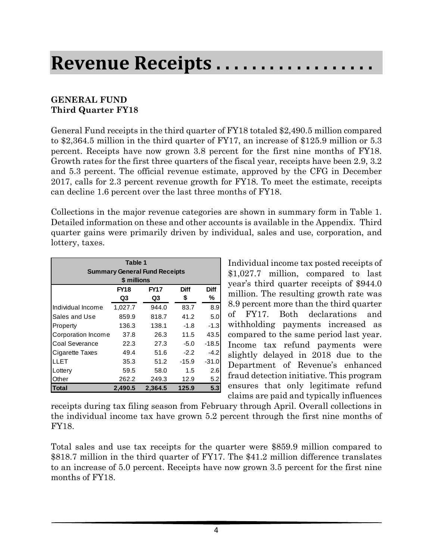# **Revenue Receipts . . . . . . . . . . . . . . . . . .**

### **GENERAL FUND Third Quarter FY18**

General Fund receipts in the third quarter of FY18 totaled \$2,490.5 million compared to \$2,364.5 million in the third quarter of FY17, an increase of \$125.9 million or 5.3 percent. Receipts have now grown 3.8 percent for the first nine months of FY18. Growth rates for the first three quarters of the fiscal year, receipts have been 2.9, 3.2 and 5.3 percent. The official revenue estimate, approved by the CFG in December 2017, calls for 2.3 percent revenue growth for FY18. To meet the estimate, receipts can decline 1.6 percent over the last three months of FY18.

Collections in the major revenue categories are shown in summary form in Table 1. Detailed information on these and other accounts is available in the Appendix. Third quarter gains were primarily driven by individual, sales and use, corporation, and lottery, taxes.

| Table 1            |             |                                      |             |         |  |  |  |  |
|--------------------|-------------|--------------------------------------|-------------|---------|--|--|--|--|
|                    |             | <b>Summary General Fund Receipts</b> |             |         |  |  |  |  |
|                    | \$ millions |                                      |             |         |  |  |  |  |
|                    | <b>FY18</b> | <b>FY17</b>                          | <b>Diff</b> | Diff    |  |  |  |  |
|                    | Q3          | Q3                                   | \$          | ℅       |  |  |  |  |
| Individual Income  | 1,027.7     | 944.0                                | 83.7        | 8.9     |  |  |  |  |
| Sales and Use      | 859.9       | 818.7                                | 41.2        | 5.0     |  |  |  |  |
| Property           | 136.3       | 138.1                                | $-1.8$      | $-1.3$  |  |  |  |  |
| Corporation Income | 37.8        | 26.3                                 | 11.5        | 43.5    |  |  |  |  |
| Coal Severance     | 22.3        | 27.3                                 | $-5.0$      | $-18.5$ |  |  |  |  |
| Cigarette Taxes    | 49.4        | 51.6                                 | $-2.2$      | $-4.2$  |  |  |  |  |
| LLET               | 35.3        | 51.2                                 | $-15.9$     | $-31.0$ |  |  |  |  |
| Lottery            | 59.5        | 58.0                                 | 1.5         | 2.6     |  |  |  |  |
| Other              | 262.2       | 249.3                                | 12.9        | 5.2     |  |  |  |  |
| Total              | 2,490.5     | 2,364.5                              | 125.9       | 5.3     |  |  |  |  |

Individual income tax posted receipts of \$1,027.7 million, compared to last year's third quarter receipts of \$944.0 million. The resulting growth rate was 8.9 percent more than the third quarter of FY17. Both declarations and withholding payments increased as compared to the same period last year. Income tax refund payments were slightly delayed in 2018 due to the Department of Revenue's enhanced fraud detection initiative. This program ensures that only legitimate refund claims are paid and typically influences

receipts during tax filing season from February through April. Overall collections in the individual income tax have grown 5.2 percent through the first nine months of FY18.

Total sales and use tax receipts for the quarter were \$859.9 million compared to \$818.7 million in the third quarter of FY17. The \$41.2 million difference translates to an increase of 5.0 percent. Receipts have now grown 3.5 percent for the first nine months of FY18.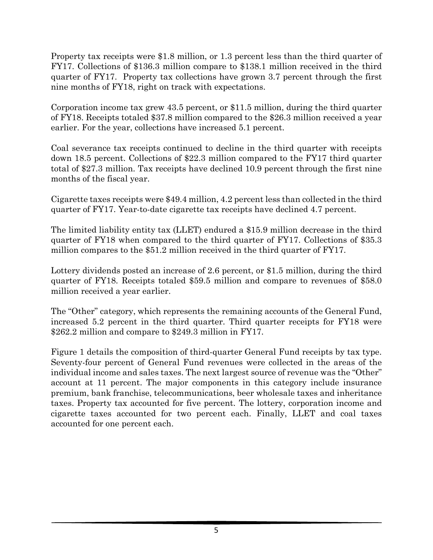Property tax receipts were \$1.8 million, or 1.3 percent less than the third quarter of FY17. Collections of \$136.3 million compare to \$138.1 million received in the third quarter of FY17. Property tax collections have grown 3.7 percent through the first nine months of FY18, right on track with expectations.

Corporation income tax grew 43.5 percent, or \$11.5 million, during the third quarter of FY18. Receipts totaled \$37.8 million compared to the \$26.3 million received a year earlier. For the year, collections have increased 5.1 percent.

Coal severance tax receipts continued to decline in the third quarter with receipts down 18.5 percent. Collections of \$22.3 million compared to the FY17 third quarter total of \$27.3 million. Tax receipts have declined 10.9 percent through the first nine months of the fiscal year.

Cigarette taxes receipts were \$49.4 million, 4.2 percent less than collected in the third quarter of FY17. Year-to-date cigarette tax receipts have declined 4.7 percent.

The limited liability entity tax (LLET) endured a \$15.9 million decrease in the third quarter of FY18 when compared to the third quarter of FY17. Collections of \$35.3 million compares to the \$51.2 million received in the third quarter of FY17.

Lottery dividends posted an increase of 2.6 percent, or \$1.5 million, during the third quarter of FY18. Receipts totaled \$59.5 million and compare to revenues of \$58.0 million received a year earlier.

The "Other" category, which represents the remaining accounts of the General Fund, increased 5.2 percent in the third quarter. Third quarter receipts for FY18 were \$262.2 million and compare to \$249.3 million in FY17.

Figure 1 details the composition of third-quarter General Fund receipts by tax type. Seventy-four percent of General Fund revenues were collected in the areas of the individual income and sales taxes. The next largest source of revenue was the "Other" account at 11 percent. The major components in this category include insurance premium, bank franchise, telecommunications, beer wholesale taxes and inheritance taxes. Property tax accounted for five percent. The lottery, corporation income and cigarette taxes accounted for two percent each. Finally, LLET and coal taxes accounted for one percent each.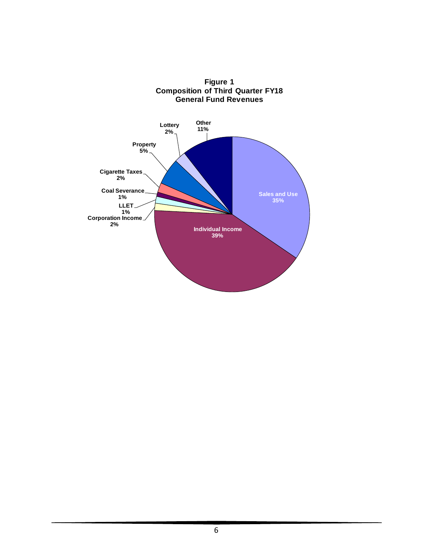

**Figure 1 Composition of Third Quarter FY18 General Fund Revenues**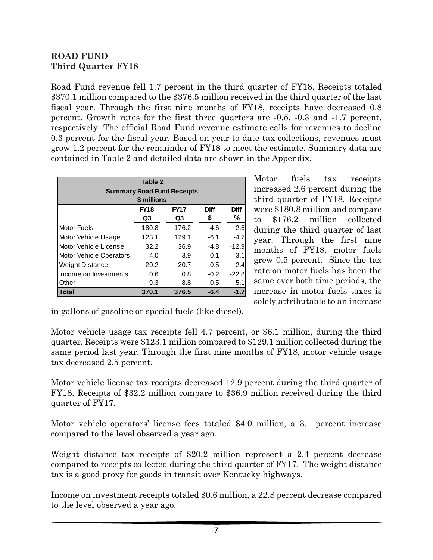### **ROAD FUND Third Quarter FY18**

Road Fund revenue fell 1.7 percent in the third quarter of FY18. Receipts totaled \$370.1 million compared to the \$376.5 million received in the third quarter of the last fiscal year. Through the first nine months of FY18, receipts have decreased 0.8 percent. Growth rates for the first three quarters are -0.5, -0.3 and -1.7 percent, respectively. The official Road Fund revenue estimate calls for revenues to decline 0.3 percent for the fiscal year. Based on year-to-date tax collections, revenues must grow 1.2 percent for the remainder of FY18 to meet the estimate. Summary data are contained in Table 2 and detailed data are shown in the Appendix.

| Table 2<br><b>Summary Road Fund Receipts</b><br>\$ millions                     |       |       |        |         |  |  |  |  |
|---------------------------------------------------------------------------------|-------|-------|--------|---------|--|--|--|--|
| <b>FY17</b><br><b>Diff</b><br><b>FY18</b><br><b>Diff</b><br>℅<br>\$<br>Q3<br>Q3 |       |       |        |         |  |  |  |  |
| <b>Motor Fuels</b>                                                              | 180.8 | 176.2 | 4.6    | 2.6     |  |  |  |  |
| Motor Vehicle Usage                                                             | 123.1 | 129.1 | $-6.1$ | $-4.7$  |  |  |  |  |
| Motor Vehicle License                                                           | 32.2  | 36.9  | -4.8   | $-12.9$ |  |  |  |  |
| <b>Motor Vehicle Operators</b>                                                  | 4.0   | 3.9   | 0.1    | 3.1     |  |  |  |  |
| <b>Weight Distance</b>                                                          | 20.2  | 20.7  | $-0.5$ | $-2.4$  |  |  |  |  |
| Income on Investments                                                           | 0.6   | 0.8   | $-0.2$ | $-22.8$ |  |  |  |  |
| Other                                                                           | 9.3   | 8.8   | 0.5    | 5.1     |  |  |  |  |
| Total                                                                           | 370.1 | 376.5 | $-6.4$ | $-1.7$  |  |  |  |  |

Motor fuels tax receipts increased 2.6 percent during the third quarter of FY18. Receipts were \$180.8 million and compare to \$176.2 million collected during the third quarter of last year. Through the first nine months of FY18, motor fuels grew 0.5 percent. Since the tax rate on motor fuels has been the same over both time periods, the increase in motor fuels taxes is solely attributable to an increase

in gallons of gasoline or special fuels (like diesel).

Motor vehicle usage tax receipts fell 4.7 percent, or \$6.1 million, during the third quarter. Receipts were \$123.1 million compared to \$129.1 million collected during the same period last year. Through the first nine months of FY18, motor vehicle usage tax decreased 2.5 percent.

Motor vehicle license tax receipts decreased 12.9 percent during the third quarter of FY18. Receipts of \$32.2 million compare to \$36.9 million received during the third quarter of FY17.

Motor vehicle operators' license fees totaled \$4.0 million, a 3.1 percent increase compared to the level observed a year ago.

Weight distance tax receipts of \$20.2 million represent a 2.4 percent decrease compared to receipts collected during the third quarter of FY17. The weight distance tax is a good proxy for goods in transit over Kentucky highways.

Income on investment receipts totaled \$0.6 million, a 22.8 percent decrease compared to the level observed a year ago.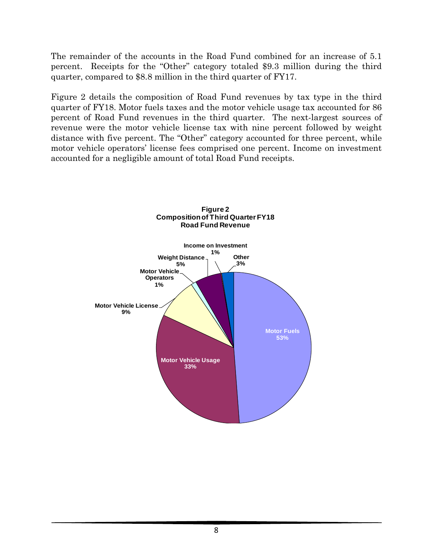The remainder of the accounts in the Road Fund combined for an increase of 5.1 percent. Receipts for the "Other" category totaled \$9.3 million during the third quarter, compared to \$8.8 million in the third quarter of FY17.

Figure 2 details the composition of Road Fund revenues by tax type in the third quarter of FY18. Motor fuels taxes and the motor vehicle usage tax accounted for 86 percent of Road Fund revenues in the third quarter. The next-largest sources of revenue were the motor vehicle license tax with nine percent followed by weight distance with five percent. The "Other" category accounted for three percent, while motor vehicle operators' license fees comprised one percent. Income on investment accounted for a negligible amount of total Road Fund receipts.

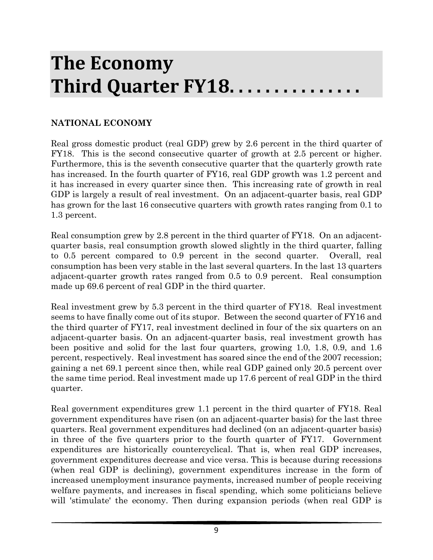# **The Economy Third Quarter FY18. . . . . . . . . . . . . . .**

## **NATIONAL ECONOMY**

Real gross domestic product (real GDP) grew by 2.6 percent in the third quarter of FY18. This is the second consecutive quarter of growth at 2.5 percent or higher. Furthermore, this is the seventh consecutive quarter that the quarterly growth rate has increased. In the fourth quarter of FY16, real GDP growth was 1.2 percent and it has increased in every quarter since then. This increasing rate of growth in real GDP is largely a result of real investment. On an adjacent-quarter basis, real GDP has grown for the last 16 consecutive quarters with growth rates ranging from 0.1 to 1.3 percent.

Real consumption grew by 2.8 percent in the third quarter of FY18. On an adjacentquarter basis, real consumption growth slowed slightly in the third quarter, falling to 0.5 percent compared to 0.9 percent in the second quarter. Overall, real consumption has been very stable in the last several quarters. In the last 13 quarters adjacent-quarter growth rates ranged from 0.5 to 0.9 percent. Real consumption made up 69.6 percent of real GDP in the third quarter.

Real investment grew by 5.3 percent in the third quarter of FY18. Real investment seems to have finally come out of its stupor. Between the second quarter of FY16 and the third quarter of FY17, real investment declined in four of the six quarters on an adjacent-quarter basis. On an adjacent-quarter basis, real investment growth has been positive and solid for the last four quarters, growing 1.0, 1.8, 0.9, and 1.6 percent, respectively. Real investment has soared since the end of the 2007 recession; gaining a net 69.1 percent since then, while real GDP gained only 20.5 percent over the same time period. Real investment made up 17.6 percent of real GDP in the third quarter.

Real government expenditures grew 1.1 percent in the third quarter of FY18. Real government expenditures have risen (on an adjacent-quarter basis) for the last three quarters. Real government expenditures had declined (on an adjacent-quarter basis) in three of the five quarters prior to the fourth quarter of FY17. Government expenditures are historically countercyclical. That is, when real GDP increases, government expenditures decrease and vice versa. This is because during recessions (when real GDP is declining), government expenditures increase in the form of increased unemployment insurance payments, increased number of people receiving welfare payments, and increases in fiscal spending, which some politicians believe will 'stimulate' the economy. Then during expansion periods (when real GDP is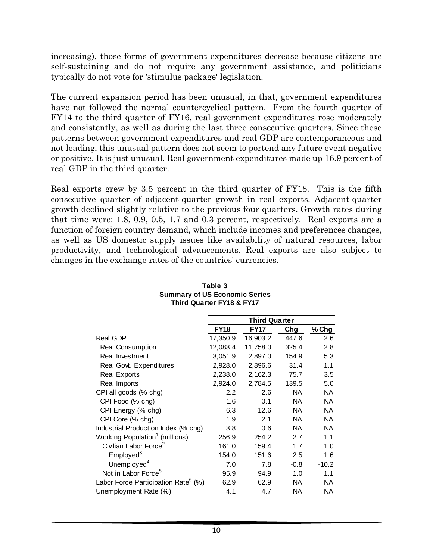increasing), those forms of government expenditures decrease because citizens are self-sustaining and do not require any government assistance, and politicians typically do not vote for 'stimulus package' legislation.

The current expansion period has been unusual, in that, government expenditures have not followed the normal countercyclical pattern. From the fourth quarter of FY14 to the third quarter of FY16, real government expenditures rose moderately and consistently, as well as during the last three consecutive quarters. Since these patterns between government expenditures and real GDP are contemporaneous and not leading, this unusual pattern does not seem to portend any future event negative or positive. It is just unusual. Real government expenditures made up 16.9 percent of real GDP in the third quarter.

Real exports grew by 3.5 percent in the third quarter of FY18. This is the fifth consecutive quarter of adjacent-quarter growth in real exports. Adjacent-quarter growth declined slightly relative to the previous four quarters. Growth rates during that time were: 1.8, 0.9, 0.5, 1.7 and 0.3 percent, respectively. Real exports are a function of foreign country demand, which include incomes and preferences changes, as well as US domestic supply issues like availability of natural resources, labor productivity, and technological advancements. Real exports are also subject to changes in the exchange rates of the countries' currencies.

|                                                 |             | <b>Third Quarter</b> |           |           |
|-------------------------------------------------|-------------|----------------------|-----------|-----------|
|                                                 | <b>FY18</b> | <b>FY17</b>          | Chg       | % Chg     |
| <b>Real GDP</b>                                 | 17,350.9    | 16,903.2             | 447.6     | 2.6       |
| <b>Real Consumption</b>                         | 12,083.4    | 11,758.0             | 325.4     | 2.8       |
| Real Investment                                 | 3,051.9     | 2,897.0              | 154.9     | 5.3       |
| Real Govt. Expenditures                         | 2,928.0     | 2,896.6              | 31.4      | 1.1       |
| <b>Real Exports</b>                             | 2,238.0     | 2,162.3              | 75.7      | 3.5       |
| Real Imports                                    | 2,924.0     | 2,784.5              | 139.5     | 5.0       |
| CPI all goods (% chg)                           | 2.2         | 2.6                  | <b>NA</b> | <b>NA</b> |
| CPI Food (% chg)                                | 1.6         | 0.1                  | <b>NA</b> | NA        |
| CPI Energy (% chg)                              | 6.3         | 12.6                 | <b>NA</b> | <b>NA</b> |
| CPI Core (% chg)                                | 1.9         | 2.1                  | NA.       | NA.       |
| Industrial Production Index (% chg)             | 3.8         | 0.6                  | <b>NA</b> | <b>NA</b> |
| Working Population <sup>1</sup> (millions)      | 256.9       | 254.2                | 2.7       | 1.1       |
| Civilian Labor Force <sup>2</sup>               | 161.0       | 159.4                | 1.7       | 1.0       |
| Employed <sup>3</sup>                           | 154.0       | 151.6                | 2.5       | 1.6       |
| Unemployed <sup>4</sup>                         | 7.0         | 7.8                  | $-0.8$    | $-10.2$   |
| Not in Labor Force <sup>5</sup>                 | 95.9        | 94.9                 | 1.0       | 1.1       |
| Labor Force Participation Rate <sup>6</sup> (%) | 62.9        | 62.9                 | NA.       | <b>NA</b> |
| Unemployment Rate (%)                           | 4.1         | 4.7                  | NA.       | NA.       |

#### **Table 3 Summary of US Economic Series Third Quarter FY18 & FY17**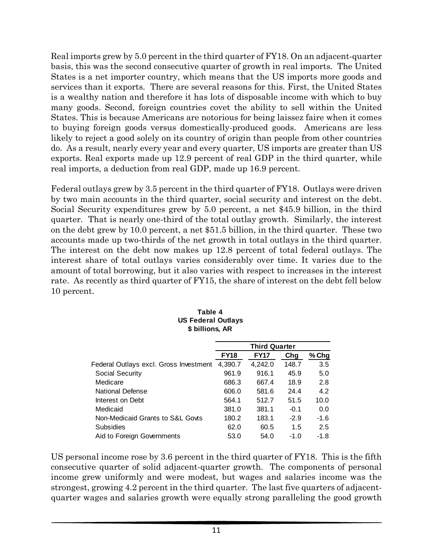Real imports grew by 5.0 percent in the third quarter of FY18. On an adjacent-quarter basis, this was the second consecutive quarter of growth in real imports. The United States is a net importer country, which means that the US imports more goods and services than it exports. There are several reasons for this. First, the United States is a wealthy nation and therefore it has lots of disposable income with which to buy many goods. Second, foreign countries covet the ability to sell within the United States. This is because Americans are notorious for being laissez faire when it comes to buying foreign goods versus domestically-produced goods. Americans are less likely to reject a good solely on its country of origin than people from other countries do. As a result, nearly every year and every quarter, US imports are greater than US exports. Real exports made up 12.9 percent of real GDP in the third quarter, while real imports, a deduction from real GDP, made up 16.9 percent.

Federal outlays grew by 3.5 percent in the third quarter of FY18. Outlays were driven by two main accounts in the third quarter, social security and interest on the debt. Social Security expenditures grew by 5.0 percent, a net \$45.9 billion, in the third quarter. That is nearly one-third of the total outlay growth. Similarly, the interest on the debt grew by 10.0 percent, a net \$51.5 billion, in the third quarter. These two accounts made up two-thirds of the net growth in total outlays in the third quarter. The interest on the debt now makes up 12.8 percent of total federal outlays. The interest share of total outlays varies considerably over time. It varies due to the amount of total borrowing, but it also varies with respect to increases in the interest rate. As recently as third quarter of FY15, the share of interest on the debt fell below 10 percent.

|                                        | <b>Third Quarter</b> |             |        |        |  |  |  |
|----------------------------------------|----------------------|-------------|--------|--------|--|--|--|
|                                        | <b>FY18</b>          | <b>FY17</b> | Chg    | % Chg  |  |  |  |
| Federal Outlays excl. Gross Investment | 4,390.7              | 4,242.0     | 148.7  | 3.5    |  |  |  |
| Social Security                        | 961.9                | 916.1       | 45.9   | 5.0    |  |  |  |
| Medicare                               | 686.3                | 667.4       | 18.9   | 2.8    |  |  |  |
| National Defense                       | 606.0                | 581.6       | 24.4   | 4.2    |  |  |  |
| Interest on Debt                       | 564.1                | 512.7       | 51.5   | 10.0   |  |  |  |
| Medicaid                               | 381.0                | 381.1       | $-0.1$ | 0.0    |  |  |  |
| Non-Medicaid Grants to S&L Govts       | 180.2                | 183.1       | $-2.9$ | -1.6   |  |  |  |
| <b>Subsidies</b>                       | 62.0                 | 60.5        | 1.5    | 2.5    |  |  |  |
| Aid to Foreign Governments             | 53.0                 | 54.0        | $-1.0$ | $-1.8$ |  |  |  |

#### **Table 4 US Federal Outlays \$ billions, AR**

US personal income rose by 3.6 percent in the third quarter of FY18. This is the fifth consecutive quarter of solid adjacent-quarter growth. The components of personal income grew uniformly and were modest, but wages and salaries income was the strongest, growing 4.2 percent in the third quarter. The last five quarters of adjacentquarter wages and salaries growth were equally strong paralleling the good growth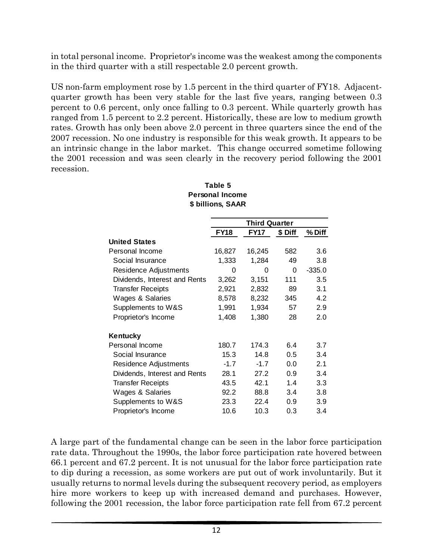in total personal income. Proprietor's income was the weakest among the components in the third quarter with a still respectable 2.0 percent growth.

US non-farm employment rose by 1.5 percent in the third quarter of FY18. Adjacentquarter growth has been very stable for the last five years, ranging between 0.3 percent to 0.6 percent, only once falling to 0.3 percent. While quarterly growth has ranged from 1.5 percent to 2.2 percent. Historically, these are low to medium growth rates. Growth has only been above 2.0 percent in three quarters since the end of the 2007 recession. No one industry is responsible for this weak growth. It appears to be an intrinsic change in the labor market. This change occurred sometime following the 2001 recession and was seen clearly in the recovery period following the 2001 recession.

|                               |             | Third Quarter |         |          |
|-------------------------------|-------------|---------------|---------|----------|
|                               | <b>FY18</b> | <b>FY17</b>   | \$ Diff | % Diff   |
| <b>United States</b>          |             |               |         |          |
| Personal Income               | 16,827      | 16,245        | 582     | 3.6      |
| Social Insurance              | 1,333       | 1,284         | 49      | 3.8      |
| Residence Adjustments         | 0           | 0             | 0       | $-335.0$ |
| Dividends, Interest and Rents | 3,262       | 3,151         | 111     | 3.5      |
| <b>Transfer Receipts</b>      | 2,921       | 2,832         | 89      | 3.1      |
| Wages & Salaries              | 8,578       | 8,232         | 345     | 4.2      |
| Supplements to W&S            | 1,991       | 1,934         | 57      | 2.9      |
| Proprietor's Income           | 1,408       | 1,380         | 28      | 2.0      |
| Kentucky                      |             |               |         |          |
| Personal Income               | 180.7       | 174.3         | 6.4     | 3.7      |
| Social Insurance              | 15.3        | 14.8          | 0.5     | 3.4      |
| Residence Adjustments         | $-1.7$      | $-1.7$        | 0.0     | 2.1      |
| Dividends, Interest and Rents | 28.1        | 27.2          | 0.9     | 3.4      |
| <b>Transfer Receipts</b>      | 43.5        | 42.1          | 1.4     | 3.3      |
| Wages & Salaries              | 92.2        | 88.8          | 3.4     | 3.8      |
| Supplements to W&S            | 23.3        | 22.4          | 0.9     | 3.9      |
| Proprietor's Income           | 10.6        | 10.3          | 0.3     | 3.4      |

#### **Table 5 Personal Income \$ billions, SAAR**

A large part of the fundamental change can be seen in the labor force participation rate data. Throughout the 1990s, the labor force participation rate hovered between 66.1 percent and 67.2 percent. It is not unusual for the labor force participation rate to dip during a recession, as some workers are put out of work involuntarily. But it usually returns to normal levels during the subsequent recovery period, as employers hire more workers to keep up with increased demand and purchases. However, following the 2001 recession, the labor force participation rate fell from 67.2 percent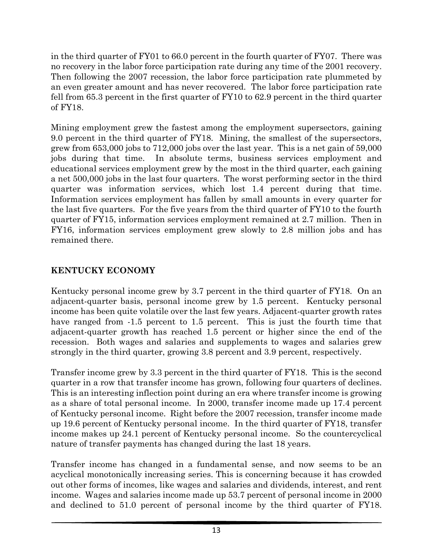in the third quarter of FY01 to 66.0 percent in the fourth quarter of FY07. There was no recovery in the labor force participation rate during any time of the 2001 recovery. Then following the 2007 recession, the labor force participation rate plummeted by an even greater amount and has never recovered. The labor force participation rate fell from 65.3 percent in the first quarter of FY10 to 62.9 percent in the third quarter of FY18.

Mining employment grew the fastest among the employment supersectors, gaining 9.0 percent in the third quarter of FY18. Mining, the smallest of the supersectors, grew from 653,000 jobs to 712,000 jobs over the last year. This is a net gain of 59,000 jobs during that time. In absolute terms, business services employment and educational services employment grew by the most in the third quarter, each gaining a net 500,000 jobs in the last four quarters. The worst performing sector in the third quarter was information services, which lost 1.4 percent during that time. Information services employment has fallen by small amounts in every quarter for the last five quarters. For the five years from the third quarter of FY10 to the fourth quarter of FY15, information services employment remained at 2.7 million. Then in FY16, information services employment grew slowly to 2.8 million jobs and has remained there.

# **KENTUCKY ECONOMY**

Kentucky personal income grew by 3.7 percent in the third quarter of FY18. On an adjacent-quarter basis, personal income grew by 1.5 percent. Kentucky personal income has been quite volatile over the last few years. Adjacent-quarter growth rates have ranged from  $-1.5$  percent to 1.5 percent. This is just the fourth time that adjacent-quarter growth has reached 1.5 percent or higher since the end of the recession. Both wages and salaries and supplements to wages and salaries grew strongly in the third quarter, growing 3.8 percent and 3.9 percent, respectively.

Transfer income grew by 3.3 percent in the third quarter of FY18. This is the second quarter in a row that transfer income has grown, following four quarters of declines. This is an interesting inflection point during an era where transfer income is growing as a share of total personal income. In 2000, transfer income made up 17.4 percent of Kentucky personal income. Right before the 2007 recession, transfer income made up 19.6 percent of Kentucky personal income. In the third quarter of FY18, transfer income makes up 24.1 percent of Kentucky personal income. So the countercyclical nature of transfer payments has changed during the last 18 years.

Transfer income has changed in a fundamental sense, and now seems to be an acyclical monotonically increasing series. This is concerning because it has crowded out other forms of incomes, like wages and salaries and dividends, interest, and rent income. Wages and salaries income made up 53.7 percent of personal income in 2000 and declined to 51.0 percent of personal income by the third quarter of FY18.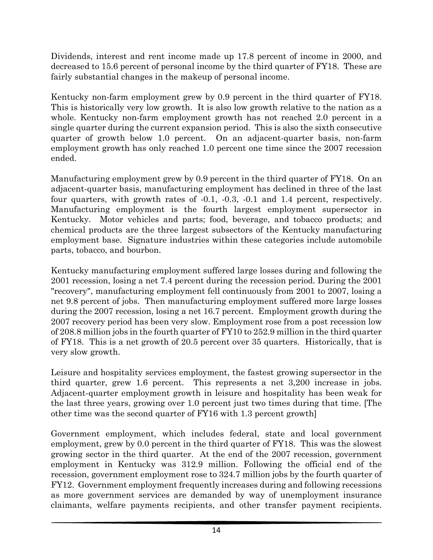Dividends, interest and rent income made up 17.8 percent of income in 2000, and decreased to 15.6 percent of personal income by the third quarter of FY18. These are fairly substantial changes in the makeup of personal income.

Kentucky non-farm employment grew by 0.9 percent in the third quarter of FY18. This is historically very low growth. It is also low growth relative to the nation as a whole. Kentucky non-farm employment growth has not reached 2.0 percent in a single quarter during the current expansion period. This is also the sixth consecutive quarter of growth below 1.0 percent. On an adjacent-quarter basis, non-farm employment growth has only reached 1.0 percent one time since the 2007 recession ended.

Manufacturing employment grew by 0.9 percent in the third quarter of FY18. On an adjacent-quarter basis, manufacturing employment has declined in three of the last four quarters, with growth rates of -0.1, -0.3, -0.1 and 1.4 percent, respectively. Manufacturing employment is the fourth largest employment supersector in Kentucky. Motor vehicles and parts; food, beverage, and tobacco products; and chemical products are the three largest subsectors of the Kentucky manufacturing employment base. Signature industries within these categories include automobile parts, tobacco, and bourbon.

Kentucky manufacturing employment suffered large losses during and following the 2001 recession, losing a net 7.4 percent during the recession period. During the 2001 "recovery", manufacturing employment fell continuously from 2001 to 2007, losing a net 9.8 percent of jobs. Then manufacturing employment suffered more large losses during the 2007 recession, losing a net 16.7 percent. Employment growth during the 2007 recovery period has been very slow. Employment rose from a post recession low of 208.8 million jobs in the fourth quarter of FY10 to 252.9 million in the third quarter of FY18. This is a net growth of 20.5 percent over 35 quarters. Historically, that is very slow growth.

Leisure and hospitality services employment, the fastest growing supersector in the third quarter, grew 1.6 percent. This represents a net 3,200 increase in jobs. Adjacent-quarter employment growth in leisure and hospitality has been weak for the last three years, growing over 1.0 percent just two times during that time. [The other time was the second quarter of FY16 with 1.3 percent growth]

Government employment, which includes federal, state and local government employment, grew by 0.0 percent in the third quarter of FY18. This was the slowest growing sector in the third quarter. At the end of the 2007 recession, government employment in Kentucky was 312.9 million. Following the official end of the recession, government employment rose to 324.7 million jobs by the fourth quarter of FY12. Government employment frequently increases during and following recessions as more government services are demanded by way of unemployment insurance claimants, welfare payments recipients, and other transfer payment recipients.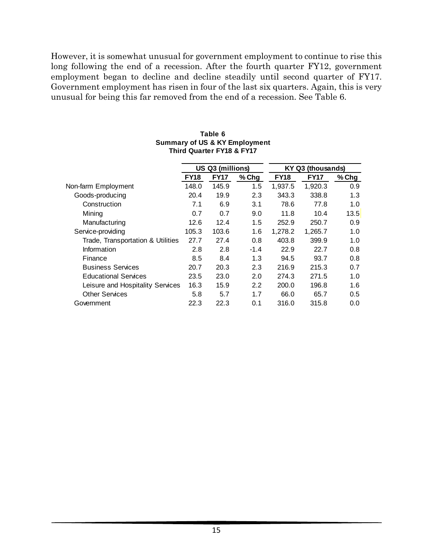However, it is somewhat unusual for government employment to continue to rise this long following the end of a recession. After the fourth quarter FY12, government employment began to decline and decline steadily until second quarter of FY17. Government employment has risen in four of the last six quarters. Again, this is very unusual for being this far removed from the end of a recession. See Table 6.

|                                   |             | US Q3 (millions) |         |             | KY Q3 (thousands) |       |
|-----------------------------------|-------------|------------------|---------|-------------|-------------------|-------|
|                                   | <b>FY18</b> | <b>FY17</b>      | $%$ Chg | <b>FY18</b> | <b>FY17</b>       | % Chg |
| Non-farm Employment               | 148.0       | 145.9            | 1.5     | 1,937.5     | 1,920.3           | 0.9   |
| Goods-producing                   | 20.4        | 19.9             | 2.3     | 343.3       | 338.8             | 1.3   |
| Construction                      | 7.1         | 6.9              | 3.1     | 78.6        | 77.8              | 1.0   |
| Mining                            | 0.7         | 0.7              | 9.0     | 11.8        | 10.4              | 13.5  |
| Manufacturing                     | 12.6        | 12.4             | 1.5     | 252.9       | 250.7             | 0.9   |
| Service-providing                 | 105.3       | 103.6            | 1.6     | 1.278.2     | 1,265.7           | 1.0   |
| Trade, Transportation & Utilities | 27.7        | 27.4             | 0.8     | 403.8       | 399.9             | 1.0   |
| Information                       | 2.8         | 2.8              | $-1.4$  | 22.9        | 22.7              | 0.8   |
| Finance                           | 8.5         | 8.4              | 1.3     | 94.5        | 93.7              | 0.8   |
| <b>Business Services</b>          | 20.7        | 20.3             | 2.3     | 216.9       | 215.3             | 0.7   |
| <b>Educational Services</b>       | 23.5        | 23.0             | 2.0     | 274.3       | 271.5             | 1.0   |
| Leisure and Hospitality Services  | 16.3        | 15.9             | 2.2     | 200.0       | 196.8             | 1.6   |
| <b>Other Services</b>             | 5.8         | 5.7              | 1.7     | 66.0        | 65.7              | 0.5   |
| Government                        | 22.3        | 22.3             | 0.1     | 316.0       | 315.8             | 0.0   |

#### **Table 6 Summary of US & KY Employment Third Quarter FY18 & FY17**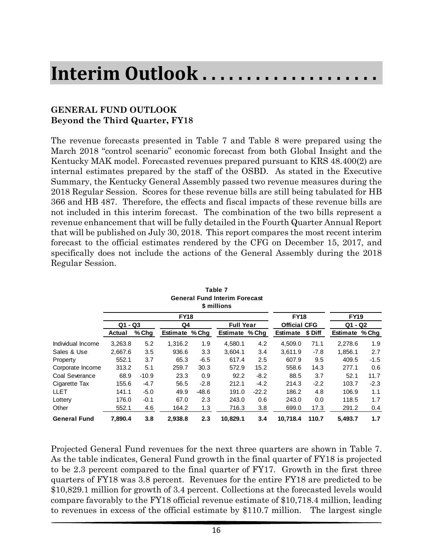# **Interim Outlook . . . . . . . . . . . . . . . . . . . .**

## **GENERAL FUND OUTLOOK Beyond the Third Quarter, FY18**

The revenue forecasts presented in Table 7 and Table 8 were prepared using the March 2018 "control scenario" economic forecast from both Global Insight and the Kentucky MAK model. Forecasted revenues prepared pursuant to KRS 48.400(2) are internal estimates prepared by the staff of the OSBD. As stated in the Executive Summary, the Kentucky General Assembly passed two revenue measures during the 2018 Regular Session. Scores for these revenue bills are still being tabulated for HB 366 and HB 487. Therefore, the effects and fiscal impacts of these revenue bills are not included in this interim forecast. The combination of the two bills represent a revenue enhancement that will be fully detailed in the Fourth Quarter Annual Report that will be published on July 30, 2018. This report compares the most recent interim forecast to the official estimates rendered by the CFG on December 15, 2017, and specifically does not include the actions of the General Assembly during the 2018 Regular Session.

|                     |           |         |                |         | General Fund Interim Forecast<br>\$ millions |         |                     |         |                |        |
|---------------------|-----------|---------|----------------|---------|----------------------------------------------|---------|---------------------|---------|----------------|--------|
|                     |           |         | <b>FY18</b>    |         |                                              |         | <b>FY18</b>         |         | <b>FY19</b>    |        |
|                     | $Q1 - Q3$ |         | Q4             |         | <b>Full Year</b>                             |         | <b>Official CFG</b> |         | $Q1 - Q2$      |        |
|                     | Actual    | % Chg   | Estimate % Chq |         | Estimate % Chg                               |         | Estimate            | \$ Diff | Estimate % Chg |        |
| Individual Income   | 3,263.8   | 5.2     | 1,316.2        | 1.9     | 4,580.1                                      | 4.2     | 4,509.0             | 71.1    | 2,278.6        | 1.9    |
| Sales & Use         | 2.667.6   | 3.5     | 936.6          | 3.3     | 3.604.1                                      | 3.4     | 3.611.9             | $-7.8$  | 1,856.1        | 2.7    |
| Property            | 552.1     | 3.7     | 65.3           | $-6.5$  | 617.4                                        | 2.5     | 607.9               | 9.5     | 409.5          | $-1.5$ |
| Corporate Income    | 313.2     | 5.1     | 259.7          | 30.3    | 572.9                                        | 15.2    | 558.6               | 14.3    | 277.1          | 0.6    |
| Coal Severance      | 68.9      | $-10.9$ | 23.3           | 0.9     | 92.2                                         | $-8.2$  | 88.5                | 3.7     | 52.1           | 11.7   |
| Cigarette Tax       | 155.6     | $-4.7$  | 56.5           | $-2.8$  | 212.1                                        | $-4.2$  | 214.3               | $-2.2$  | 103.7          | $-2.3$ |
| LLET                | 141.1     | $-5.0$  | 49.9           | $-48.6$ | 191.0                                        | $-22.2$ | 186.2               | 4.8     | 106.9          | 1.1    |
| Lottery             | 176.0     | $-0.1$  | 67.0           | 2.3     | 243.0                                        | 0.6     | 243.0               | 0.0     | 118.5          | 1.7    |
| Other               | 552.1     | 4.6     | 164.2          | 1.3     | 716.3                                        | 3.8     | 699.0               | 17.3    | 291.2          | 0.4    |
| <b>General Fund</b> | 7.890.4   | 3.8     | 2,938.8        | 2.3     | 10.829.1                                     | 3.4     | 10.718.4            | 110.7   | 5.493.7        | 1.7    |

**Table 7 General Fund Interim Forecast**

Projected General Fund revenues for the next three quarters are shown in Table 7. As the table indicates, General Fund growth in the final quarter of FY18 is projected to be 2.3 percent compared to the final quarter of FY17. Growth in the first three quarters of FY18 was 3.8 percent. Revenues for the entire FY18 are predicted to be \$10,829.1 million for growth of 3.4 percent. Collections at the forecasted levels would compare favorably to the FY18 official revenue estimate of \$10,718.4 million, leading to revenues in excess of the official estimate by \$110.7 million. The largest single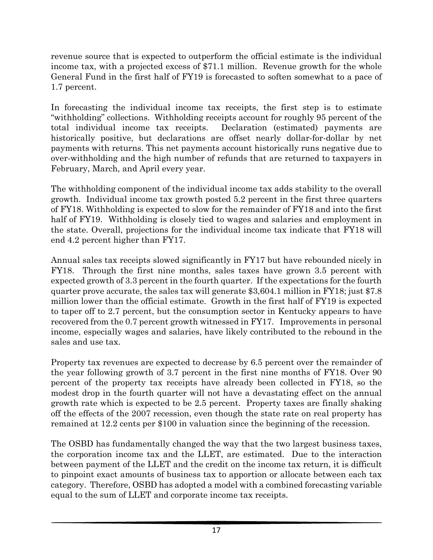revenue source that is expected to outperform the official estimate is the individual income tax, with a projected excess of \$71.1 million. Revenue growth for the whole General Fund in the first half of FY19 is forecasted to soften somewhat to a pace of 1.7 percent.

In forecasting the individual income tax receipts, the first step is to estimate "withholding" collections. Withholding receipts account for roughly 95 percent of the total individual income tax receipts. Declaration (estimated) payments are historically positive, but declarations are offset nearly dollar-for-dollar by net payments with returns. This net payments account historically runs negative due to over-withholding and the high number of refunds that are returned to taxpayers in February, March, and April every year.

The withholding component of the individual income tax adds stability to the overall growth. Individual income tax growth posted 5.2 percent in the first three quarters of FY18. Withholding is expected to slow for the remainder of FY18 and into the first half of FY19. Withholding is closely tied to wages and salaries and employment in the state. Overall, projections for the individual income tax indicate that FY18 will end 4.2 percent higher than FY17.

Annual sales tax receipts slowed significantly in FY17 but have rebounded nicely in FY18. Through the first nine months, sales taxes have grown 3.5 percent with expected growth of 3.3 percent in the fourth quarter. If the expectations for the fourth quarter prove accurate, the sales tax will generate \$3,604.1 million in FY18; just \$7.8 million lower than the official estimate. Growth in the first half of FY19 is expected to taper off to 2.7 percent, but the consumption sector in Kentucky appears to have recovered from the 0.7 percent growth witnessed in FY17. Improvements in personal income, especially wages and salaries, have likely contributed to the rebound in the sales and use tax.

Property tax revenues are expected to decrease by 6.5 percent over the remainder of the year following growth of 3.7 percent in the first nine months of FY18. Over 90 percent of the property tax receipts have already been collected in FY18, so the modest drop in the fourth quarter will not have a devastating effect on the annual growth rate which is expected to be 2.5 percent. Property taxes are finally shaking off the effects of the 2007 recession, even though the state rate on real property has remained at 12.2 cents per \$100 in valuation since the beginning of the recession.

The OSBD has fundamentally changed the way that the two largest business taxes, the corporation income tax and the LLET, are estimated. Due to the interaction between payment of the LLET and the credit on the income tax return, it is difficult to pinpoint exact amounts of business tax to apportion or allocate between each tax category. Therefore, OSBD has adopted a model with a combined forecasting variable equal to the sum of LLET and corporate income tax receipts.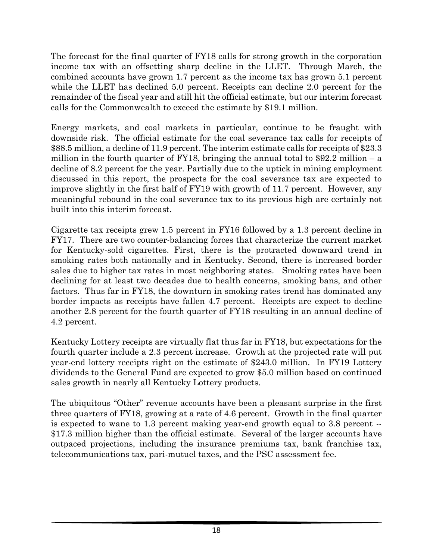The forecast for the final quarter of FY18 calls for strong growth in the corporation income tax with an offsetting sharp decline in the LLET. Through March, the combined accounts have grown 1.7 percent as the income tax has grown 5.1 percent while the LLET has declined 5.0 percent. Receipts can decline 2.0 percent for the remainder of the fiscal year and still hit the official estimate, but our interim forecast calls for the Commonwealth to exceed the estimate by \$19.1 million.

Energy markets, and coal markets in particular, continue to be fraught with downside risk. The official estimate for the coal severance tax calls for receipts of \$88.5 million, a decline of 11.9 percent. The interim estimate calls for receipts of \$23.3 million in the fourth quarter of FY18, bringing the annual total to \$92.2 million – a decline of 8.2 percent for the year. Partially due to the uptick in mining employment discussed in this report, the prospects for the coal severance tax are expected to improve slightly in the first half of FY19 with growth of 11.7 percent. However, any meaningful rebound in the coal severance tax to its previous high are certainly not built into this interim forecast.

Cigarette tax receipts grew 1.5 percent in FY16 followed by a 1.3 percent decline in FY17. There are two counter-balancing forces that characterize the current market for Kentucky-sold cigarettes. First, there is the protracted downward trend in smoking rates both nationally and in Kentucky. Second, there is increased border sales due to higher tax rates in most neighboring states. Smoking rates have been declining for at least two decades due to health concerns, smoking bans, and other factors. Thus far in FY18, the downturn in smoking rates trend has dominated any border impacts as receipts have fallen 4.7 percent. Receipts are expect to decline another 2.8 percent for the fourth quarter of FY18 resulting in an annual decline of 4.2 percent.

Kentucky Lottery receipts are virtually flat thus far in FY18, but expectations for the fourth quarter include a 2.3 percent increase. Growth at the projected rate will put year-end lottery receipts right on the estimate of \$243.0 million. In FY19 Lottery dividends to the General Fund are expected to grow \$5.0 million based on continued sales growth in nearly all Kentucky Lottery products.

The ubiquitous "Other" revenue accounts have been a pleasant surprise in the first three quarters of FY18, growing at a rate of 4.6 percent. Growth in the final quarter is expected to wane to 1.3 percent making year-end growth equal to 3.8 percent -- \$17.3 million higher than the official estimate. Several of the larger accounts have outpaced projections, including the insurance premiums tax, bank franchise tax, telecommunications tax, pari-mutuel taxes, and the PSC assessment fee.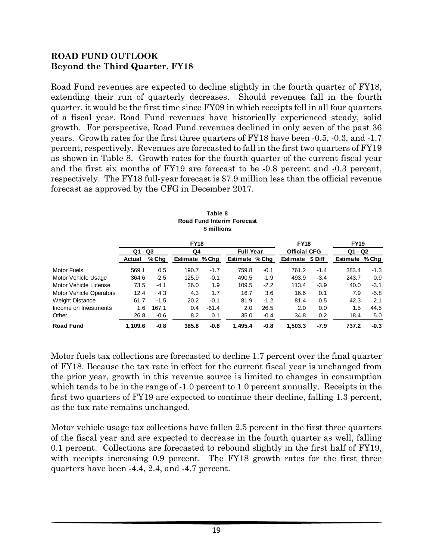### **ROAD FUND OUTLOOK Beyond the Third Quarter, FY18**

Road Fund revenues are expected to decline slightly in the fourth quarter of FY18, extending their run of quarterly decreases. Should revenues fall in the fourth quarter, it would be the first time since FY09 in which receipts fell in all four quarters of a fiscal year. Road Fund revenues have historically experienced steady, solid growth. For perspective, Road Fund revenues declined in only seven of the past 36 years. Growth rates for the first three quarters of FY18 have been -0.5, -0.3, and -1.7 percent, respectively. Revenues are forecasted to fall in the first two quarters of FY19 as shown in Table 8. Growth rates for the fourth quarter of the current fiscal year and the first six months of FY19 are forecast to be -0.8 percent and -0.3 percent, respectively. The FY18 full-year forecast is \$7.9 million less than the official revenue forecast as approved by the CFG in December 2017.

|                                |           |         |                | Table 8<br>\$ millions | <b>Road Fund Interim Forecast</b> |        |                     |         |             |        |
|--------------------------------|-----------|---------|----------------|------------------------|-----------------------------------|--------|---------------------|---------|-------------|--------|
|                                |           |         | <b>FY18</b>    |                        |                                   |        | <b>FY18</b>         |         | <b>FY19</b> |        |
|                                | $Q1 - Q3$ |         | Q4             |                        | <b>Full Year</b>                  |        | <b>Official CFG</b> |         | $Q1 - Q2$   |        |
|                                | Actual    | $%$ Chg | Estimate % Chg |                        | Estimate % Chg                    |        | <b>Estimate</b>     | \$ Diff | Estimate    | % Chg  |
| <b>Motor Fuels</b>             | 569.1     | 0.5     | 190.7          | $-1.7$                 | 759.8                             | $-0.1$ | 761.2               | $-1.4$  | 383.4       | $-1.3$ |
| Motor Vehicle Usage            | 364.6     | $-2.5$  | 125.9          | $-0.1$                 | 490.5                             | $-1.9$ | 493.9               | $-3.4$  | 243.7       | 0.9    |
| Motor Vehicle License          | 73.5      | $-4.1$  | 36.0           | 1.9                    | 109.5                             | $-2.2$ | 113.4               | $-3.9$  | 40.0        | $-3.1$ |
| <b>Motor Vehicle Operators</b> | 12.4      | 4.3     | 4.3            | 1.7                    | 16.7                              | 3.6    | 16.6                | 0.1     | 7.9         | $-5.8$ |
| <b>Weight Distance</b>         | 61.7      | $-1.5$  | 20.2           | $-0.1$                 | 81.9                              | $-1.2$ | 81.4                | 0.5     | 42.3        | 2.1    |
| Income on Investments          | 1.6       | 167.1   | 0.4            | $-61.4$                | 2.0                               | 26.5   | 2.0                 | 0.0     | 1.5         | 44.5   |
| Other                          | 26.8      | $-0.6$  | 8.2            | 0.1                    | 35.0                              | $-0.4$ | 34.8                | 0.2     | 18.4        | 5.0    |
| <b>Road Fund</b>               | 1,109.6   | $-0.8$  | 385.8          | $-0.8$                 | 1.495.4                           | $-0.8$ | 1,503.3             | $-7.9$  | 737.2       | $-0.3$ |

Motor fuels tax collections are forecasted to decline 1.7 percent over the final quarter of FY18. Because the tax rate in effect for the current fiscal year is unchanged from the prior year, growth in this revenue source is limited to changes in consumption which tends to be in the range of  $-1.0$  percent to 1.0 percent annually. Receipts in the first two quarters of FY19 are expected to continue their decline, falling 1.3 percent, as the tax rate remains unchanged.

Motor vehicle usage tax collections have fallen 2.5 percent in the first three quarters of the fiscal year and are expected to decrease in the fourth quarter as well, falling 0.1 percent. Collections are forecasted to rebound slightly in the first half of FY19, with receipts increasing 0.9 percent. The FY18 growth rates for the first three quarters have been -4.4, 2.4, and -4.7 percent.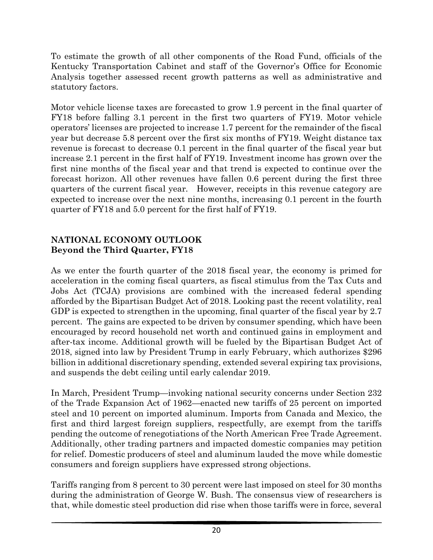To estimate the growth of all other components of the Road Fund, officials of the Kentucky Transportation Cabinet and staff of the Governor's Office for Economic Analysis together assessed recent growth patterns as well as administrative and statutory factors.

Motor vehicle license taxes are forecasted to grow 1.9 percent in the final quarter of FY18 before falling 3.1 percent in the first two quarters of FY19. Motor vehicle operators' licenses are projected to increase 1.7 percent for the remainder of the fiscal year but decrease 5.8 percent over the first six months of FY19. Weight distance tax revenue is forecast to decrease 0.1 percent in the final quarter of the fiscal year but increase 2.1 percent in the first half of FY19. Investment income has grown over the first nine months of the fiscal year and that trend is expected to continue over the forecast horizon. All other revenues have fallen 0.6 percent during the first three quarters of the current fiscal year. However, receipts in this revenue category are expected to increase over the next nine months, increasing 0.1 percent in the fourth quarter of FY18 and 5.0 percent for the first half of FY19.

## **NATIONAL ECONOMY OUTLOOK Beyond the Third Quarter, FY18**

As we enter the fourth quarter of the 2018 fiscal year, the economy is primed for acceleration in the coming fiscal quarters, as fiscal stimulus from the Tax Cuts and Jobs Act (TCJA) provisions are combined with the increased federal spending afforded by the Bipartisan Budget Act of 2018. Looking past the recent volatility, real GDP is expected to strengthen in the upcoming, final quarter of the fiscal year by 2.7 percent. The gains are expected to be driven by consumer spending, which have been encouraged by record household net worth and continued gains in employment and after-tax income. Additional growth will be fueled by the Bipartisan Budget Act of 2018, signed into law by President Trump in early February, which authorizes \$296 billion in additional discretionary spending, extended several expiring tax provisions, and suspends the debt ceiling until early calendar 2019.

In March, President Trump—invoking national security concerns under Section 232 of the Trade Expansion Act of 1962—enacted new tariffs of 25 percent on imported steel and 10 percent on imported aluminum. Imports from Canada and Mexico, the first and third largest foreign suppliers, respectfully, are exempt from the tariffs pending the outcome of renegotiations of the North American Free Trade Agreement. Additionally, other trading partners and impacted domestic companies may petition for relief. Domestic producers of steel and aluminum lauded the move while domestic consumers and foreign suppliers have expressed strong objections.

Tariffs ranging from 8 percent to 30 percent were last imposed on steel for 30 months during the administration of George W. Bush. The consensus view of researchers is that, while domestic steel production did rise when those tariffs were in force, several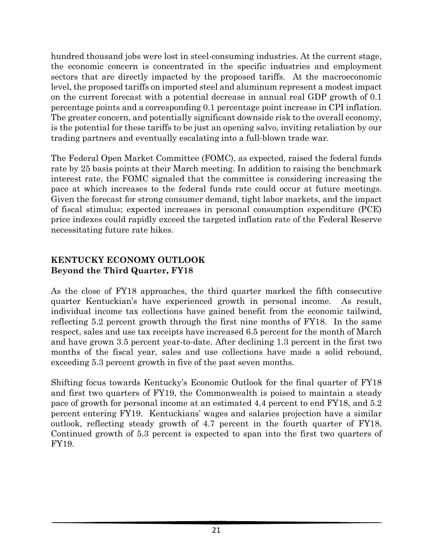hundred thousand jobs were lost in steel-consuming industries. At the current stage, the economic concern is concentrated in the specific industries and employment sectors that are directly impacted by the proposed tariffs. At the macroeconomic level, the proposed tariffs on imported steel and aluminum represent a modest impact on the current forecast with a potential decrease in annual real GDP growth of 0.1 percentage points and a corresponding 0.1 percentage point increase in CPI inflation. The greater concern, and potentially significant downside risk to the overall economy, is the potential for these tariffs to be just an opening salvo, inviting retaliation by our trading partners and eventually escalating into a full-blown trade war.

The Federal Open Market Committee (FOMC), as expected, raised the federal funds rate by 25 basis points at their March meeting. In addition to raising the benchmark interest rate, the FOMC signaled that the committee is considering increasing the pace at which increases to the federal funds rate could occur at future meetings. Given the forecast for strong consumer demand, tight labor markets, and the impact of fiscal stimulus; expected increases in personal consumption expenditure (PCE) price indexes could rapidly exceed the targeted inflation rate of the Federal Reserve necessitating future rate hikes.

## **KENTUCKY ECONOMY OUTLOOK Beyond the Third Quarter, FY18**

As the close of FY18 approaches, the third quarter marked the fifth consecutive quarter Kentuckian's have experienced growth in personal income. As result, individual income tax collections have gained benefit from the economic tailwind, reflecting 5.2 percent growth through the first nine months of FY18. In the same respect, sales and use tax receipts have increased 6.5 percent for the month of March and have grown 3.5 percent year-to-date. After declining 1.3 percent in the first two months of the fiscal year, sales and use collections have made a solid rebound, exceeding 5.3 percent growth in five of the past seven months.

Shifting focus towards Kentucky's Economic Outlook for the final quarter of FY18 and first two quarters of FY19, the Commonwealth is poised to maintain a steady pace of growth for personal income at an estimated 4.4 percent to end FY18, and 5.2 percent entering FY19. Kentuckians' wages and salaries projection have a similar outlook, reflecting steady growth of 4.7 percent in the fourth quarter of FY18. Continued growth of 5.3 percent is expected to span into the first two quarters of FY19.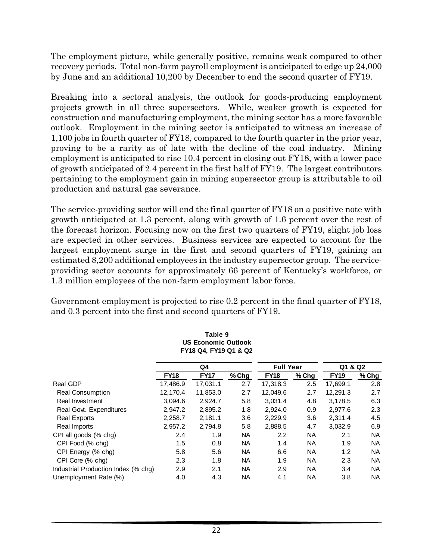The employment picture, while generally positive, remains weak compared to other recovery periods. Total non-farm payroll employment is anticipated to edge up 24,000 by June and an additional 10,200 by December to end the second quarter of FY19.

Breaking into a sectoral analysis, the outlook for goods-producing employment projects growth in all three supersectors. While, weaker growth is expected for construction and manufacturing employment, the mining sector has a more favorable outlook. Employment in the mining sector is anticipated to witness an increase of 1,100 jobs in fourth quarter of FY18, compared to the fourth quarter in the prior year, proving to be a rarity as of late with the decline of the coal industry. Mining employment is anticipated to rise 10.4 percent in closing out FY18, with a lower pace of growth anticipated of 2.4 percent in the first half of FY19. The largest contributors pertaining to the employment gain in mining supersector group is attributable to oil production and natural gas severance.

The service-providing sector will end the final quarter of FY18 on a positive note with growth anticipated at 1.3 percent, along with growth of 1.6 percent over the rest of the forecast horizon. Focusing now on the first two quarters of FY19, slight job loss are expected in other services. Business services are expected to account for the largest employment surge in the first and second quarters of FY19, gaining an estimated 8,200 additional employees in the industry supersector group. The serviceproviding sector accounts for approximately 66 percent of Kentucky's workforce, or 1.3 million employees of the non-farm employment labor force.

Government employment is projected to rise 0.2 percent in the final quarter of FY18, and 0.3 percent into the first and second quarters of FY19.

|                                     |             | <b>US Economic Outlook</b><br>FY18 Q4, FY19 Q1 & Q2 |           |                  |           |             |           |
|-------------------------------------|-------------|-----------------------------------------------------|-----------|------------------|-----------|-------------|-----------|
|                                     |             | Q4                                                  |           | <b>Full Year</b> |           | Q1 & Q2     |           |
|                                     | <b>FY18</b> | <b>FY17</b>                                         | % Chg     | <b>FY18</b>      | % Chg     | <b>FY19</b> | % Chg     |
| Real GDP                            | 17,486.9    | 17,031.1                                            | 2.7       | 17,318.3         | 2.5       | 17,699.1    | 2.8       |
| <b>Real Consumption</b>             | 12,170.4    | 11,853.0                                            | 2.7       | 12,049.6         | 2.7       | 12,291.3    | 2.7       |
| Real Investment                     | 3,094.6     | 2,924.7                                             | 5.8       | 3,031.4          | 4.8       | 3,178.5     | 6.3       |
| Real Govt. Expenditures             | 2,947.2     | 2,895.2                                             | 1.8       | 2.924.0          | 0.9       | 2,977.6     | 2.3       |
| <b>Real Exports</b>                 | 2,258.7     | 2,181.1                                             | 3.6       | 2,229.9          | 3.6       | 2,311.4     | 4.5       |
| Real Imports                        | 2,957.2     | 2,794.8                                             | 5.8       | 2,888.5          | 4.7       | 3,032.9     | 6.9       |
| CPI all goods (% chg)               | 2.4         | 1.9                                                 | NA.       | 2.2              | <b>NA</b> | 2.1         | <b>NA</b> |
| CPI Food (% chg)                    | 1.5         | 0.8                                                 | NA.       | 1.4              | NA.       | 1.9         | NA.       |
| CPI Energy (% chg)                  | 5.8         | 5.6                                                 | NA.       | 6.6              | <b>NA</b> | 1.2         | NA.       |
| CPI Core (% chg)                    | 2.3         | 1.8                                                 | NA.       | 1.9              | <b>NA</b> | 2.3         | NA.       |
| Industrial Production Index (% chg) | 2.9         | 2.1                                                 | NA.       | 2.9              | NA.       | 3.4         | NA.       |
| Unemployment Rate (%)               | 4.0         | 4.3                                                 | <b>NA</b> | 4.1              | <b>NA</b> | 3.8         | NA.       |

**Table 9 US Economic Outlook**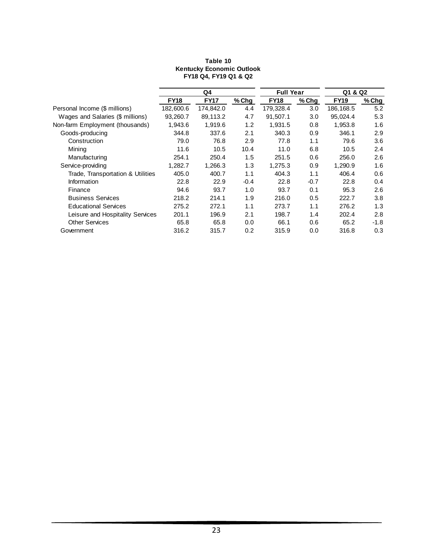#### **FY18 FY17 % Chg FY18 % Chg FY19 % Chg** Personal Income (\$ millions) 182,600.6 174,842.0 4.4 179,328.4 3.0 186,168.5 5.2 Wages and Salaries (\$ millions) 93,260.7 89,113.2 4.7 91,507.1 3.0 95,024.4 5.3 Non-farm Employment (thousands) 1,943.6 1,919.6 1.2 1,931.5 0.8 1,953.8 1.6 Goods-producing 344.8 337.6 2.1 340.3 0.9 346.1 2.9 Construction 79.0 76.8 2.9 77.8 1.1 79.6 3.6 Mining 11.6 10.5 10.4 11.0 6.8 10.5 2.4 Manufacturing 254.1 250.4 1.5 251.5 0.6 256.0 2.6 Service-providing 1,282.7 1,266.3 1.3 1,275.3 0.9 1,290.9 1.6 Trade, Transportation & Utilities 405.0 400.7 1.1 404.3 1.1 406.4 0.6 Information 22.8 22.9 -0.4 22.8 -0.7 22.8 0.4 Finance 94.6 93.7 1.0 93.7 0.1 95.3 2.6 Business Services 218.2 214.1 1.9 216.0 0.5 222.7 3.8 Educational Services 275.2 272.1 1.1 273.7 1.1 276.2 1.3 Leisure and Hospitality Services 201.1 196.9 2.1 198.7 1.4 202.4 2.8 Other Services 65.8 65.8 65.8 65.8 66.1 0.6 65.2 -1.8<br>
Government 65.2 316.2 315.7 0.2 315.9 0.0 316.8 0.3 Government 316.2 315.7 0.2 315.9 0.0 316.8 0.3 **Q4 Full Year Q1 & Q2**

#### **Table 10 Kentucky Economic Outlook FY18 Q4, FY19 Q1 & Q2**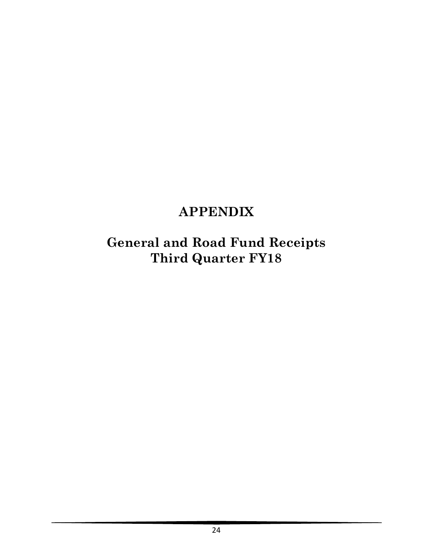# **APPENDIX**

**General and Road Fund Receipts Third Quarter FY18**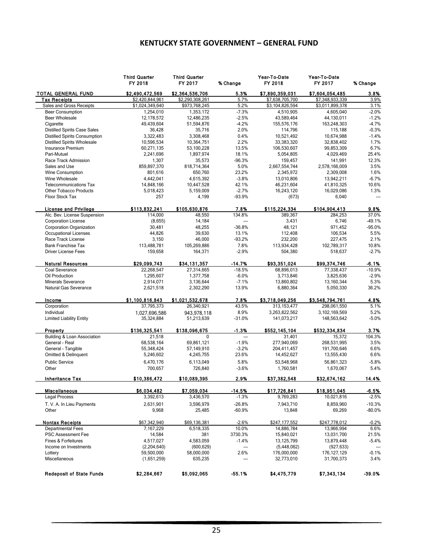### **KENTUCKY STATE GOVERNMENT – GENERAL FUND**

|                                      | <b>Third Quarter</b><br>FY 2018 | <b>Third Quarter</b><br>FY 2017 | % Change | Year-To-Date<br>FY 2018 | Year-To-Date<br>FY 2017 | % Change |
|--------------------------------------|---------------------------------|---------------------------------|----------|-------------------------|-------------------------|----------|
| TOTAL GENERAL FUND                   | \$2,490,472.569                 | \$2,364,536,706                 | 5.3%     | \$7.890.359.031         | \$7,604,054,485         | 3.8%     |
| <b>Tax Receipts</b>                  | \$2,420,844,961                 | \$2,290,308,261                 | 5.7%     | \$7,638,705,700         | \$7,348,933,339         | 3.9%     |
| Sales and Gross Receipts             | \$1,024,349,640                 | \$973,768,245                   | 5.2%     | \$3,104,826,594         | \$3,011,899,378         | 3.1%     |
| <b>Beer Consumption</b>              | 1,254,010                       | 1,353,172                       | $-7.3%$  | 4,510,905               | 4,605,040               | $-2.0%$  |
| <b>Beer Wholesale</b>                | 12,178,572                      | 12,486,235                      | $-2.5%$  | 43,589,464              | 44,130,011              | $-1.2%$  |
| Cigarette                            | 49,439,604                      | 51,594,876                      | $-4.2%$  | 155,576,176             | 163,248,303             | $-4.7%$  |
| <b>Distilled Spirits Case Sales</b>  | 36,428                          | 35,716                          | 2.0%     | 114,796                 | 115,188                 | $-0.3%$  |
| <b>Distilled Spirits Consumption</b> | 3,322,483                       | 3,308,468                       | 0.4%     | 10,521,492              | 10,674,988              | $-1.4%$  |
| <b>Distilled Spirits Wholesale</b>   | 10,596,534                      | 10,364,751                      | 2.2%     | 33,383,320              | 32,838,402              | 1.7%     |
| Insurance Premium                    | 60,271,135                      | 53,100,228                      | 13.5%    | 106,530,607             | 99,853,309              | 6.7%     |
| Pari-Mutuel                          | 2,241,696                       | 1,897,974                       | 18.1%    | 5.054.805               | 4,029,469               | 25.4%    |
| Race Track Admission                 | 1,307                           | 35,573                          | $-96.3%$ | 159,457                 | 141,991                 | 12.3%    |
| Sales and Use                        | 859,897,370                     | 818,714,364                     | 5.0%     | 2,667,554,744           | 2,578,166,009           | 3.5%     |
| Wine Consumption                     | 801,616                         | 650.760                         | 23.2%    | 2,345,972               | 2,309,008               | 1.6%     |
| Wine Wholesale                       | 4,442,041                       | 4,615,392                       | $-3.8%$  | 13,010,806              | 13,942,211              | $-6.7%$  |
| <b>Telecommunications Tax</b>        | 14,848,166                      | 10,447,528                      | 42.1%    | 46,231,604              | 41,810,325              | 10.6%    |
| <b>Other Tobacco Products</b>        | 5,018,423                       | 5,159,009                       | $-2.7%$  | 16,243,120              | 16,029,086              | 1.3%     |
| Floor Stock Tax                      | 257                             | 4,199                           | -93.9%   | (673)                   | 6,040                   | ---      |
| <b>License and Privilege</b>         | \$113,832,241                   | \$105,630,876                   | 7.8%     | \$115,224,334           | \$104,904,413           | 9.8%     |
| Alc. Bev. License Suspension         | 114,000                         | 48,550                          | 134.8%   | 389,367                 | 284.253                 | 37.0%    |
| <b>Corporation License</b>           | (8,655)                         | 14,184                          | ---      | 3,431                   | 6,746                   | $-49.1%$ |
| Corporation Organization             | 30,481                          | 48,255                          | $-36.8%$ | 48,121                  | 971,452                 | $-95.0%$ |
| <b>Occupational Licenses</b>         | 44,826                          | 39,630                          | 13.1%    | 112,408                 | 106,534                 | 5.5%     |
| Race Track License                   | 3,150                           | 46,000                          | $-93.2%$ | 232,200                 | 227,475                 | 2.1%     |
| <b>Bank Franchise Tax</b>            | 113,488,781                     | 105,269,886                     | 7.8%     | 113,934,428             | 102,789,317             | 10.8%    |
| <b>Driver License Fees</b>           | 159,658                         | 164,371                         | $-2.9%$  | 504,380                 | 518,637                 | $-2.7%$  |
| <b>Natural Resources</b>             | \$29,099,743                    | \$34,131,357                    | $-14.7%$ | \$93,351,024            | \$99,374,746            | $-6.1%$  |
| Coal Severance                       | 22,268,547                      | 27,314,665                      | $-18.5%$ | 68,896,013              | 77,338,437              | $-10.9%$ |
| Oil Production                       | 1,295,607                       | 1,377,758                       | $-6.0%$  | 3,713,846               | 3,825,636               | $-2.9%$  |
| <b>Minerals Severance</b>            | 2,914,071                       | 3,136,644                       | $-7.1%$  | 13,860,802              | 13,160,344              | 5.3%     |
| Natural Gas Severance                | 2,621,518                       | 2,302,290                       | 13.9%    | 6,880,364               | 5,050,330               | 36.2%    |
| Income                               | \$1,100,816,843                 | \$1,021,532,678                 | 7.8%     | \$3,718,049,256         | \$3,548,794,761         | 4.8%     |
| Corporation                          | 37,795,373                      | 26,340,921                      | 43.5%    | 313, 153, 477           | 298,061,550             | 5.1%     |
| Individual                           | 1,027,696,586                   | 943,978,118                     | 8.9%     | 3,263,822,562           | 3,102,169,569           | 5.2%     |
| <b>Limited Liability Entity</b>      | 35,324,884                      | 51,213,639                      | $-31.0%$ | 141,073,217             | 148,563,642             | $-5.0%$  |
| Property                             | \$136,325,541                   | \$138,096,675                   | $-1.3%$  | \$552,145,104           | \$532,334,834           | 3.7%     |
| Building & Loan Association          | 21,518                          | $\Omega$                        | ---      | 31,401                  | 15,372                  | 104.3%   |
| General - Real                       | 68,538,164                      | 69,861,121                      | $-1.9%$  | 277,940,069             | 268,531,995             | 3.5%     |
| General - Tangible                   | 55,348,424                      | 57,149,910                      | $-3.2%$  | 204,411,457             | 191,700,646             | 6.6%     |
| Omitted & Delinquent                 | 5,246,602                       | 4,245,755                       | 23.6%    | 14,452,627              | 13,555,430              | 6.6%     |
| <b>Public Service</b>                | 6,470,176                       | 6.113.049                       | 5.8%     | 53,548,968              | 56,861,323              | $-5.8%$  |
| Other                                | 700,657                         | 726,840                         | $-3.6%$  | 1,760,581               | 1,670,067               | 5.4%     |
| <b>Inheritance Tax</b>               | \$10,386,472                    | \$10,089,395                    | 2.9%     | \$37,382,548            | \$32,674,162            | 14.4%    |
| <b>Miscellaneous</b>                 | \$6,034,482                     | \$7,059,034                     | $-14.5%$ | \$17,726,841            | \$18,951,045            | 6.5%     |
| <b>Legal Process</b>                 | 3,392,613                       | 3,436,570                       | $-1.3%$  | 9,769,283               | 10,021,816              | $-2.5%$  |
| T. V. A. In Lieu Payments            | 2,631,901                       | 3,596,979                       | $-26.8%$ | 7,943,710               | 8,859,960               | $-10.3%$ |
| Other                                | 9,968                           | 25,485                          | $-60.9%$ | 13,848                  | 69,269                  | $-80.0%$ |
| <b>Nontax Receipts</b>               | \$67,342,940                    | \$69,136,381                    | $-2.6%$  | \$247,177,552           | \$247,778,012           | $-0.2%$  |
| <b>Departmental Fees</b>             | 7,167,229                       | 6,518,335                       | 10.0%    | 14,886,784              | 13,966,994              | 6.6%     |
| PSC Assessment Fee                   | 14,584                          | 381                             | 3730.3%  | 15,840,021              | 13,031,700              | 21.5%    |
| Fines & Forfeitures                  | 4,517,027                       | 4,583,059                       | $-1.4%$  | 13,125,799              | 13,879,448              | $-5.4%$  |
| Income on Investments                | (2,204,640)                     | (600, 629)                      | ---      | (5,448,062)             | (927, 633)              |          |
| Lottery                              | 59,500,000                      | 58,000,000                      | 2.6%     | 176,000,000             | 176, 127, 129           | $-0.1%$  |
| Miscellaneous                        | (1,651,259)                     | 635,235                         | ---      | 32,773,010              | 31,700,373              | 3.4%     |
| <b>Redeposit of State Funds</b>      | \$2,284,667                     | \$5,092,065                     | -55.1%   | \$4,475,779             | \$7,343,134             | -39.0%   |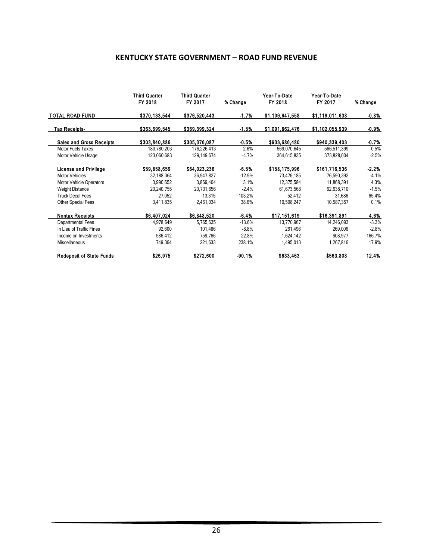### **KENTUCKY STATE GOVERNMENT – ROAD FUND REVENUE**

|                                 | <b>Third Quarter</b><br>FY 2018 | <b>Third Quarter</b><br>FY 2017 | % Change | Year-To-Date<br>FY 2018 | Year-To-Date<br>FY 2017 | % Change |
|---------------------------------|---------------------------------|---------------------------------|----------|-------------------------|-------------------------|----------|
| <b>TOTAL ROAD FUND</b>          | \$370,133,544                   | \$376,520,443                   | -1.7%    | \$1,109,647,558         | \$1,119,011,638         | -0.8%    |
| <b>Tax Receipts-</b>            | \$363,699,545                   | \$369,399,324                   | -1.5%    | \$1,091,862,476         | \$1,102,055,939         | -0.9%    |
| <b>Sales and Gross Receipts</b> | \$303,840,886                   | \$305,376,087                   | -0.5%    | \$933,686,480           | \$940,339,403           | -0.7%    |
| Motor Fuels Taxes               | 180,780,203                     | 176,226,413                     | 2.6%     | 569,070,645             | 566,511,399             | 0.5%     |
| Motor Vehicle Usage             | 123,060,683                     | 129,149,674                     | $-4.7%$  | 364,615,835             | 373,828,004             | $-2.5%$  |
| <b>License and Privilege</b>    | \$59,858,659                    | \$64,023,236                    | $-6.5%$  | \$158,175,996           | \$161,716,536           | $-2.2%$  |
| <b>Motor Vehicles</b>           | 32,188,364                      | 36,947,827                      | $-12.9%$ | 73,476,185              | 76,590,392              | $-4.1%$  |
| <b>Motor Vehicle Operators</b>  | 3,990,652                       | 3,869,404                       | 3.1%     | 12,375,584              | 11,868,391              | 4.3%     |
| <b>Weight Distance</b>          | 20,240,755                      | 20,731,656                      | $-2.4%$  | 61,673,568              | 62,638,710              | $-1.5%$  |
| <b>Truck Decal Fees</b>         | 27,052                          | 13,315                          | 103.2%   | 52,412                  | 31,686                  | 65.4%    |
| <b>Other Special Fees</b>       | 3,411,835                       | 2,461,034                       | 38.6%    | 10,598,247              | 10,587,357              | 0.1%     |
| <b>Nontax Receipts</b>          | \$6,407,024                     | \$6,848,520                     | -6.4%    | \$17,151,619            | \$16,391,891            | 4.6%     |
| Departmental Fees               | 4,978,649                       | 5,765,635                       | $-13.6%$ | 13,770,967              | 14,246,093              | $-3.3%$  |
| In Lieu of Traffic Fines        | 92,600                          | 101,486                         | $-8.8\%$ | 261,496                 | 269,006                 | $-2.8%$  |
| Income on Investments           | 586,412                         | 759,766                         | $-22.8%$ | 1,624,142               | 608,977                 | 166.7%   |
| Miscellaneous                   | 749,364                         | 221,633                         | 238.1%   | 1,495,013               | 1,267,816               | 17.9%    |
| <b>Redeposit of State Funds</b> | \$26,975                        | \$272,600                       | $-90.1%$ | \$633,463               | \$563,808               | 12.4%    |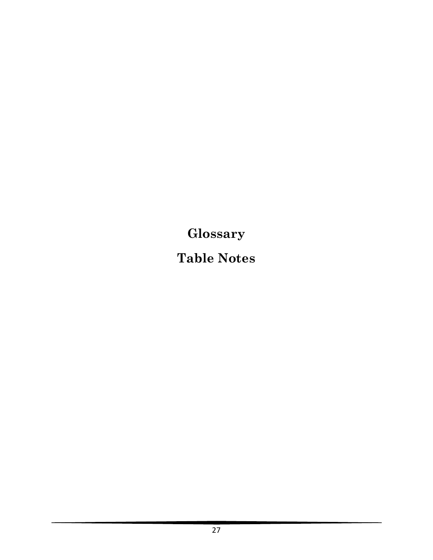**Glossary**

**Table Notes**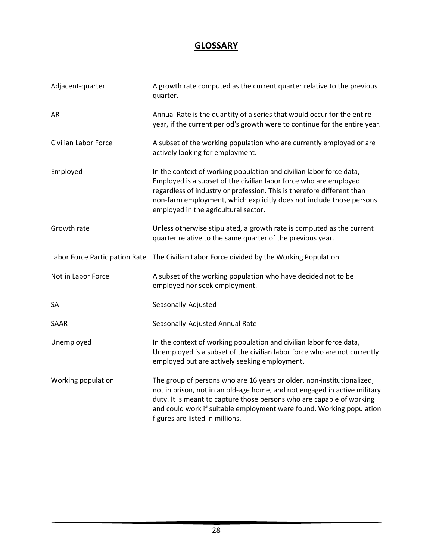# **GLOSSARY**

| Adjacent-quarter     | A growth rate computed as the current quarter relative to the previous<br>quarter.                                                                                                                                                                                                                                                      |
|----------------------|-----------------------------------------------------------------------------------------------------------------------------------------------------------------------------------------------------------------------------------------------------------------------------------------------------------------------------------------|
| <b>AR</b>            | Annual Rate is the quantity of a series that would occur for the entire<br>year, if the current period's growth were to continue for the entire year.                                                                                                                                                                                   |
| Civilian Labor Force | A subset of the working population who are currently employed or are<br>actively looking for employment.                                                                                                                                                                                                                                |
| Employed             | In the context of working population and civilian labor force data,<br>Employed is a subset of the civilian labor force who are employed<br>regardless of industry or profession. This is therefore different than<br>non-farm employment, which explicitly does not include those persons<br>employed in the agricultural sector.      |
| Growth rate          | Unless otherwise stipulated, a growth rate is computed as the current<br>quarter relative to the same quarter of the previous year.                                                                                                                                                                                                     |
|                      | Labor Force Participation Rate The Civilian Labor Force divided by the Working Population.                                                                                                                                                                                                                                              |
| Not in Labor Force   | A subset of the working population who have decided not to be<br>employed nor seek employment.                                                                                                                                                                                                                                          |
| SA                   | Seasonally-Adjusted                                                                                                                                                                                                                                                                                                                     |
| SAAR                 | Seasonally-Adjusted Annual Rate                                                                                                                                                                                                                                                                                                         |
| Unemployed           | In the context of working population and civilian labor force data,<br>Unemployed is a subset of the civilian labor force who are not currently<br>employed but are actively seeking employment.                                                                                                                                        |
| Working population   | The group of persons who are 16 years or older, non-institutionalized,<br>not in prison, not in an old-age home, and not engaged in active military<br>duty. It is meant to capture those persons who are capable of working<br>and could work if suitable employment were found. Working population<br>figures are listed in millions. |